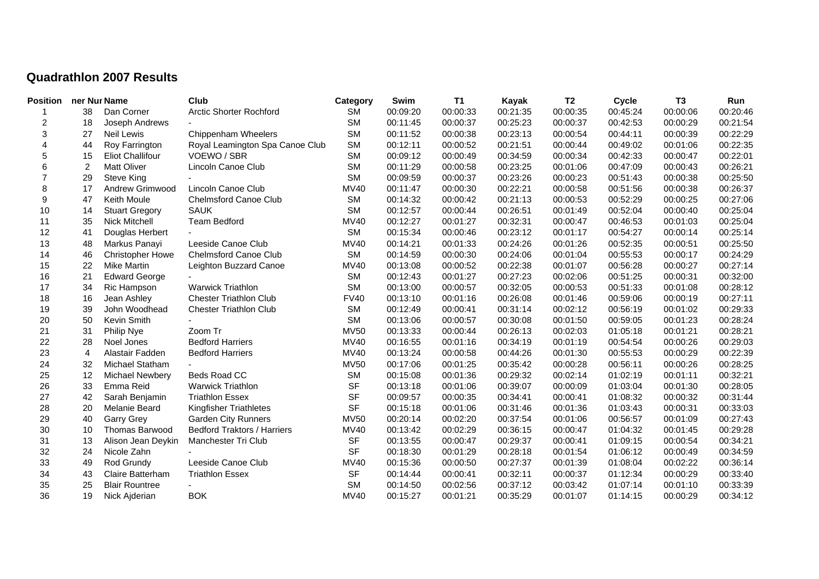## **Quadrathlon 2007 Results**

| <b>Position</b>  | ner Nur Name |                         | Club                               | Category    | Swim     | <b>T1</b> | <b>Kayak</b> | T <sub>2</sub> | <b>Cycle</b> | T <sub>3</sub> | Run      |
|------------------|--------------|-------------------------|------------------------------------|-------------|----------|-----------|--------------|----------------|--------------|----------------|----------|
|                  | 38           | Dan Corner              | <b>Arctic Shorter Rochford</b>     | <b>SM</b>   | 00:09:20 | 00:00:33  | 00:21:35     | 00:00:35       | 00:45:24     | 00:00:06       | 00:20:46 |
| $\overline{c}$   | 18           | Joseph Andrews          |                                    | <b>SM</b>   | 00:11:45 | 00:00:37  | 00:25:23     | 00:00:37       | 00:42:53     | 00:00:29       | 00:21:54 |
| 3                | 27           | <b>Neil Lewis</b>       | Chippenham Wheelers                | <b>SM</b>   | 00:11:52 | 00:00:38  | 00:23:13     | 00:00:54       | 00:44:11     | 00:00:39       | 00:22:29 |
| $\overline{4}$   | 44           | Roy Farrington          | Royal Leamington Spa Canoe Club    | <b>SM</b>   | 00:12:11 | 00:00:52  | 00:21:51     | 00:00:44       | 00:49:02     | 00:01:06       | 00:22:35 |
| 5                | 15           | <b>Eliot Challifour</b> | VOEWO / SBR                        | <b>SM</b>   | 00:09:12 | 00:00:49  | 00:34:59     | 00:00:34       | 00:42:33     | 00:00:47       | 00:22:01 |
| 6                | 2            | <b>Matt Oliver</b>      | Lincoln Canoe Club                 | <b>SM</b>   | 00:11:29 | 00:00:58  | 00:23:25     | 00:01:06       | 00:47:09     | 00:00:43       | 00:26:21 |
| $\overline{7}$   | 29           | <b>Steve King</b>       |                                    | <b>SM</b>   | 00:09:59 | 00:00:37  | 00:23:26     | 00:00:23       | 00:51:43     | 00:00:38       | 00:25:50 |
| 8                | 17           | Andrew Grimwood         | Lincoln Canoe Club                 | <b>MV40</b> | 00:11:47 | 00:00:30  | 00:22:21     | 00:00:58       | 00:51:56     | 00:00:38       | 00:26:37 |
| $\boldsymbol{9}$ | 47           | Keith Moule             | <b>Chelmsford Canoe Club</b>       | <b>SM</b>   | 00:14:32 | 00:00:42  | 00:21:13     | 00:00:53       | 00:52:29     | 00:00:25       | 00:27:06 |
| 10               | 14           | <b>Stuart Gregory</b>   | <b>SAUK</b>                        | <b>SM</b>   | 00:12:57 | 00:00:44  | 00:26:51     | 00:01:49       | 00:52:04     | 00:00:40       | 00:25:04 |
| 11               | 35           | Nick Mitchell           | <b>Team Bedford</b>                | MV40        | 00:12:27 | 00:01:27  | 00:32:31     | 00:00:47       | 00:46:53     | 00:01:03       | 00:25:04 |
| 12               | 41           | Douglas Herbert         |                                    | <b>SM</b>   | 00:15:34 | 00:00:46  | 00:23:12     | 00:01:17       | 00:54:27     | 00:00:14       | 00:25:14 |
| 13               | 48           | Markus Panayi           | Leeside Canoe Club                 | <b>MV40</b> | 00:14:21 | 00:01:33  | 00:24:26     | 00:01:26       | 00:52:35     | 00:00:51       | 00:25:50 |
| 14               | 46           | <b>Christopher Howe</b> | <b>Chelmsford Canoe Club</b>       | <b>SM</b>   | 00:14:59 | 00:00:30  | 00:24:06     | 00:01:04       | 00:55:53     | 00:00:17       | 00:24:29 |
| 15               | 22           | <b>Mike Martin</b>      | Leighton Buzzard Canoe             | MV40        | 00:13:08 | 00:00:52  | 00:22:38     | 00:01:07       | 00:56:28     | 00:00:27       | 00:27:14 |
| 16               | 21           | <b>Edward George</b>    |                                    | <b>SM</b>   | 00:12:43 | 00:01:27  | 00:27:23     | 00:02:06       | 00:51:25     | 00:00:31       | 00:32:00 |
| 17               | 34           | Ric Hampson             | <b>Warwick Triathlon</b>           | <b>SM</b>   | 00:13:00 | 00:00:57  | 00:32:05     | 00:00:53       | 00:51:33     | 00:01:08       | 00:28:12 |
| 18               | 16           | Jean Ashley             | <b>Chester Triathlon Club</b>      | <b>FV40</b> | 00:13:10 | 00:01:16  | 00:26:08     | 00:01:46       | 00:59:06     | 00:00:19       | 00:27:11 |
| 19               | 39           | John Woodhead           | <b>Chester Triathlon Club</b>      | <b>SM</b>   | 00:12:49 | 00:00:41  | 00:31:14     | 00:02:12       | 00:56:19     | 00:01:02       | 00:29:33 |
| 20               | 50           | Kevin Smith             |                                    | <b>SM</b>   | 00:13:06 | 00:00:57  | 00:30:08     | 00:01:50       | 00:59:05     | 00:01:23       | 00:28:24 |
| 21               | 31           | Philip Nye              | Zoom Tr                            | <b>MV50</b> | 00:13:33 | 00:00:44  | 00:26:13     | 00:02:03       | 01:05:18     | 00:01:21       | 00:28:21 |
| 22               | 28           | Noel Jones              | <b>Bedford Harriers</b>            | <b>MV40</b> | 00:16:55 | 00:01:16  | 00:34:19     | 00:01:19       | 00:54:54     | 00:00:26       | 00:29:03 |
| 23               | 4            | Alastair Fadden         | <b>Bedford Harriers</b>            | MV40        | 00:13:24 | 00:00:58  | 00:44:26     | 00:01:30       | 00:55:53     | 00:00:29       | 00:22:39 |
| 24               | 32           | Michael Statham         |                                    | <b>MV50</b> | 00:17:06 | 00:01:25  | 00:35:42     | 00:00:28       | 00:56:11     | 00:00:26       | 00:28:25 |
| 25               | 12           | <b>Michael Newbery</b>  | Beds Road CC                       | <b>SM</b>   | 00:15:08 | 00:01:36  | 00:29:32     | 00:02:14       | 01:02:19     | 00:01:11       | 00:32:21 |
| 26               | 33           | Emma Reid               | <b>Warwick Triathlon</b>           | <b>SF</b>   | 00:13:18 | 00:01:06  | 00:39:07     | 00:00:09       | 01:03:04     | 00:01:30       | 00:28:05 |
| 27               | 42           | Sarah Benjamin          | <b>Triathlon Essex</b>             | <b>SF</b>   | 00:09:57 | 00:00:35  | 00:34:41     | 00:00:41       | 01:08:32     | 00:00:32       | 00:31:44 |
| 28               | 20           | Melanie Beard           | <b>Kingfisher Triathletes</b>      | <b>SF</b>   | 00:15:18 | 00:01:06  | 00:31:46     | 00:01:36       | 01:03:43     | 00:00:31       | 00:33:03 |
| 29               | 40           | <b>Garry Grey</b>       | <b>Garden City Runners</b>         | <b>MV50</b> | 00:20:14 | 00:02:20  | 00:37:54     | 00:01:06       | 00:56:57     | 00:01:09       | 00:27:43 |
| 30               | 10           | Thomas Barwood          | <b>Bedford Traktors / Harriers</b> | <b>MV40</b> | 00:13:42 | 00:02:29  | 00:36:15     | 00:00:47       | 01:04:32     | 00:01:45       | 00:29:28 |
| 31               | 13           | Alison Jean Deykin      | Manchester Tri Club                | <b>SF</b>   | 00:13:55 | 00:00:47  | 00:29:37     | 00:00:41       | 01:09:15     | 00:00:54       | 00:34:21 |
| 32               | 24           | Nicole Zahn             |                                    | <b>SF</b>   | 00:18:30 | 00:01:29  | 00:28:18     | 00:01:54       | 01:06:12     | 00:00:49       | 00:34:59 |
| 33               | 49           | Rod Grundy              | Leeside Canoe Club                 | <b>MV40</b> | 00:15:36 | 00:00:50  | 00:27:37     | 00:01:39       | 01:08:04     | 00:02:22       | 00:36:14 |
| 34               | 43           | Claire Batterham        | <b>Triathlon Essex</b>             | <b>SF</b>   | 00:14:44 | 00:00:41  | 00:32:11     | 00:00:37       | 01:12:34     | 00:00:29       | 00:33:40 |
| 35               | 25           | <b>Blair Rountree</b>   |                                    | <b>SM</b>   | 00:14:50 | 00:02:56  | 00:37:12     | 00:03:42       | 01:07:14     | 00:01:10       | 00:33:39 |
| 36               | 19           | Nick Ajderian           | <b>BOK</b>                         | <b>MV40</b> | 00:15:27 | 00:01:21  | 00:35:29     | 00:01:07       | 01:14:15     | 00:00:29       | 00:34:12 |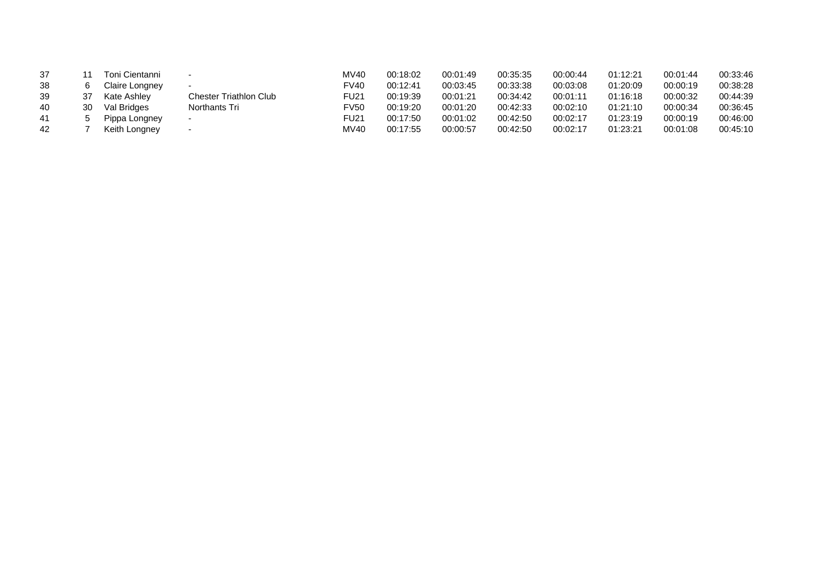| 37 |    | Toni Cientanni |                               | <b>MV40</b> | 00:18:02 | 00:01:49 | 00:35:35 | 00:00:44 | 01:12:21 | 00:01:44 | 00:33:46 |
|----|----|----------------|-------------------------------|-------------|----------|----------|----------|----------|----------|----------|----------|
| 38 | ี  | Claire Longney | $\sim$                        | FV40        | 00:12:41 | 00:03:45 | 00:33:38 | 00:03:08 | 01:20:09 | 00:00:19 | 00:38:28 |
| 39 | 37 | Kate Ashley    | <b>Chester Triathlon Club</b> | <b>FU21</b> | 00:19:39 | 00:01:21 | 00:34:42 | 00:01:11 | 01:16:18 | 00:00:32 | 00:44:39 |
| 40 | 30 | Val Bridges    | Northants Tri                 | <b>FV50</b> | 00:19:20 | 00:01:20 | 00:42:33 | 00:02:10 | 01:21:10 | 00:00:34 | 00:36:45 |
| 41 |    | Pippa Longney  | $\sim$                        | <b>FU21</b> | 00:17:50 | 00:01:02 | 00:42:50 | 00:02:17 | 01:23:19 | 00:00:19 | 00:46:00 |
| 42 |    | Keith Longney  | $\sim$                        | MV40        | 00:17:55 | 00:00:57 | 00:42:50 | 00:02:17 | 01:23:21 | 00:01:08 | 00:45:10 |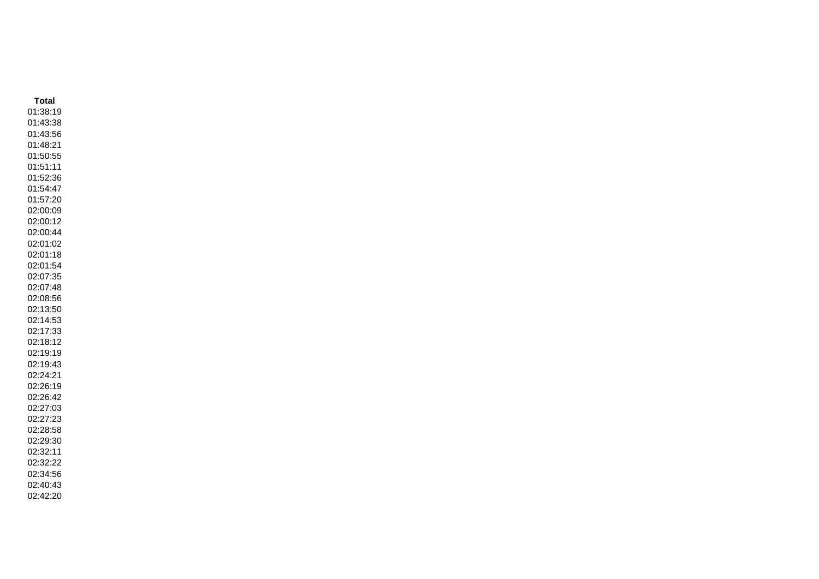**Total** 01:38:19 01:43:38 01:43:56 01:48:21 01:50:55 01:51:11 01:52:36 01:54:47 01:57:20 02:00:09 02:00:12 02:00:44 02:01:02 02:01:18 02:01:54 02:07:35 02:07:48 02:08:56 02:13:50 02:14:53 02:17:33 02:18:12 02:19:19 02:19:43 02:24:21 02:26:19 02:26:42 02:27:03 02:27:23 02:28:58 02:29:30 02:32:11 02:32:22 02:34:56 02:40:43 02:42:20